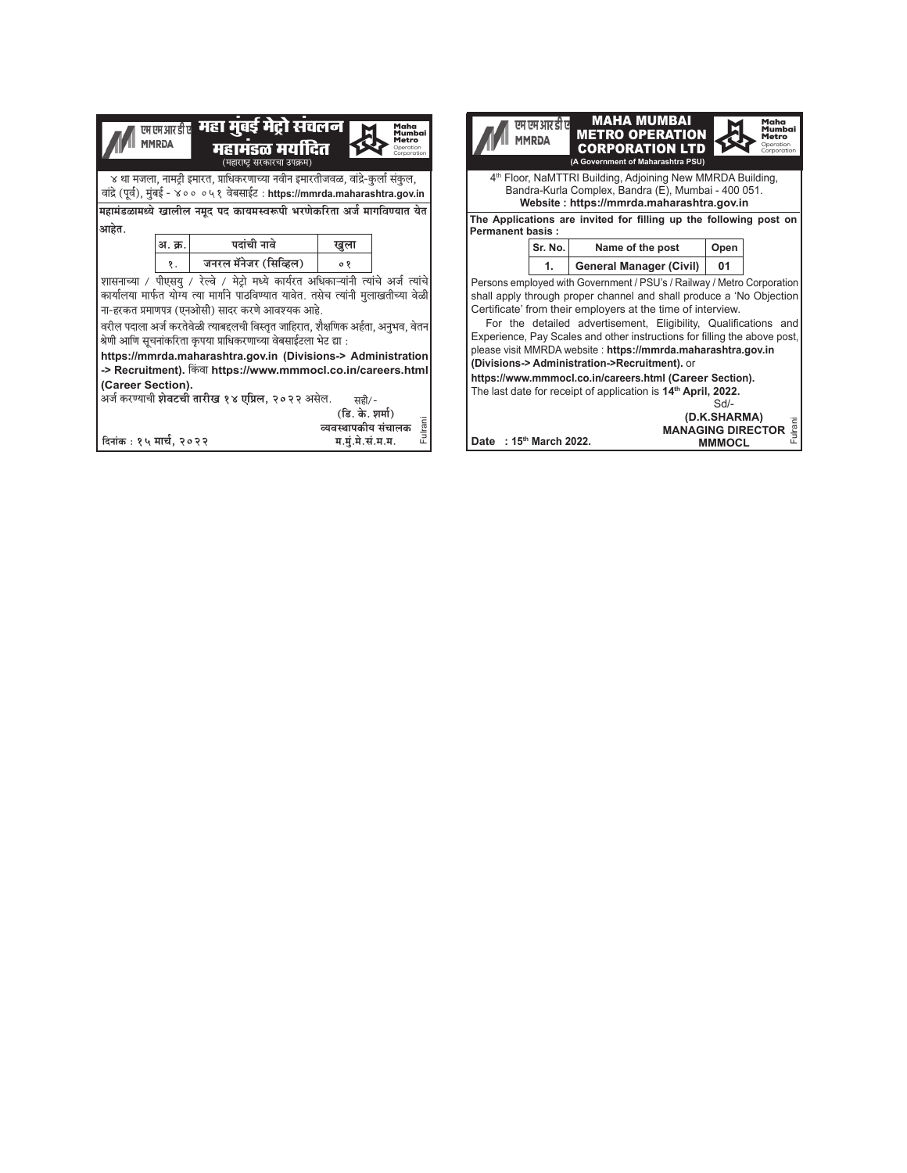|                                                                                                                                                                                                                                                                                                                                                                                                                                                                                                                                | <b>MMRDA</b> | <sub>खखभाक्षी</sub> महा मुंबई मेट्रो संचलन  <br>महामडळ मर्यादित<br>(महाराष्ट सरकारचा उपक्रम)                                                                                                                                                                                                                                                                                                                                                                                                                                                                                                |                                         | Maha<br>Mumbai<br>Metro<br><b>Deration</b><br>Corporation |  | एम एम आर डी ए<br><b>MMRDA</b> | MAHA MUMBAI<br><b>METRO OPERATION</b><br><b>CORPORATION LTD</b><br>(A Government of Maharashtra PSU)                                                                                                                                                                                                                                                                                                                                                                                                                                                                                                                   |                        | Maha<br>Mumbai<br>Metro<br>Operation<br>Corporation |
|--------------------------------------------------------------------------------------------------------------------------------------------------------------------------------------------------------------------------------------------------------------------------------------------------------------------------------------------------------------------------------------------------------------------------------------------------------------------------------------------------------------------------------|--------------|---------------------------------------------------------------------------------------------------------------------------------------------------------------------------------------------------------------------------------------------------------------------------------------------------------------------------------------------------------------------------------------------------------------------------------------------------------------------------------------------------------------------------------------------------------------------------------------------|-----------------------------------------|-----------------------------------------------------------|--|-------------------------------|------------------------------------------------------------------------------------------------------------------------------------------------------------------------------------------------------------------------------------------------------------------------------------------------------------------------------------------------------------------------------------------------------------------------------------------------------------------------------------------------------------------------------------------------------------------------------------------------------------------------|------------------------|-----------------------------------------------------|
| 4 <sup>th</sup> Floor, NaMTTRI Building, Adjoining New MMRDA Building,<br>४ था मजला, नामट्री इमारत, प्राधिकरणाच्या नवीन इमारतीजवळ, वांद्रे-कुर्ला संकुल,<br>Bandra-Kurla Complex, Bandra (E), Mumbai - 400 051.<br>वांद्रे (पूर्व), मुंबई - ४०० ०५१ वेबसाईट : https://mmrda.maharashtra.gov.in<br>Website: https://mmrda.maharashtra.gov.in<br>महामंडळामध्ये खालील नमूद पद कायमस्वरूपी भरणेकरिता अर्ज मागविण्यात येत<br>The Applications are invited for filling up the following post on<br> आहेत.<br><b>Permanent basis:</b> |              |                                                                                                                                                                                                                                                                                                                                                                                                                                                                                                                                                                                             |                                         |                                                           |  |                               |                                                                                                                                                                                                                                                                                                                                                                                                                                                                                                                                                                                                                        |                        |                                                     |
|                                                                                                                                                                                                                                                                                                                                                                                                                                                                                                                                | अ. क्र.      | पदांची नावे                                                                                                                                                                                                                                                                                                                                                                                                                                                                                                                                                                                 | खुला                                    |                                                           |  | Sr. No.                       | Name of the post                                                                                                                                                                                                                                                                                                                                                                                                                                                                                                                                                                                                       | Open                   |                                                     |
|                                                                                                                                                                                                                                                                                                                                                                                                                                                                                                                                | १.           | जनरल मॅनेजर (सिव्हिल)                                                                                                                                                                                                                                                                                                                                                                                                                                                                                                                                                                       | ०१                                      |                                                           |  | 1.                            | <b>General Manager (Civil)</b>                                                                                                                                                                                                                                                                                                                                                                                                                                                                                                                                                                                         | 01                     |                                                     |
| <b>(Career Section).</b>                                                                                                                                                                                                                                                                                                                                                                                                                                                                                                       |              | शासनाच्या / पीएसयु / रेल्वे / मेट्रो मध्ये कार्यरत अधिकाऱ्यांनी त्यांचे अर्ज त्यांचे  <br>कार्यालया मार्फत योग्य त्या मार्गाने पाठविण्यात यावेत. तसेच त्यांनी मुलाखतीच्या वेळी<br>  ना-हरकत प्रमाणपत्र (एनओसी) सादर करणे आवश्यक आहे.<br>वरील पदाला अर्ज करतेवेळी त्याबद्दलची विस्तृत जाहिरात, शैक्षणिक अर्हता, अनुभव, वेतन<br>श्रेणी आणि सूचनांकरिता कृपया प्राधिकरणाच्या वेबसाईटला भेट द्या :<br>https://mmrda.maharashtra.gov.in (Divisions-> Administration<br>  -> Recruitment). किंवा https://www.mmmocl.co.in/careers.html<br>अर्ज करण्याची <b>शेवटची तारीख १४ एप्रिल, २०२२</b> असेल. | सही/-<br>(डि. के. शर्मा)                |                                                           |  |                               | Persons employed with Government / PSU's / Railway / Metro Corporation<br>shall apply through proper channel and shall produce a 'No Objection<br>Certificate' from their employers at the time of interview.<br>For the detailed advertisement, Eligibility, Qualifications and<br>Experience, Pay Scales and other instructions for filling the above post,<br>please visit MMRDA website: https://mmrda.maharashtra.gov.in<br>(Divisions-> Administration->Recruitment). or<br>https://www.mmmocl.co.in/careers.html (Career Section).<br>The last date for receipt of application is 14 <sup>th</sup> April, 2022. | $Sd$ -<br>(D.K.SHARMA) |                                                     |
| दिनांक : १५ मार्च, २०२२                                                                                                                                                                                                                                                                                                                                                                                                                                                                                                        |              |                                                                                                                                                                                                                                                                                                                                                                                                                                                                                                                                                                                             | व्यवस्थापकीय संचालक<br>म.मूं.मे.सं.म.म. | Fulrani                                                   |  | Date: 15th March 2022.        |                                                                                                                                                                                                                                                                                                                                                                                                                                                                                                                                                                                                                        | <b>MMMOCL</b>          | <b>MANAGING DIRECTOR <math>\frac{\pi}{3}</math></b> |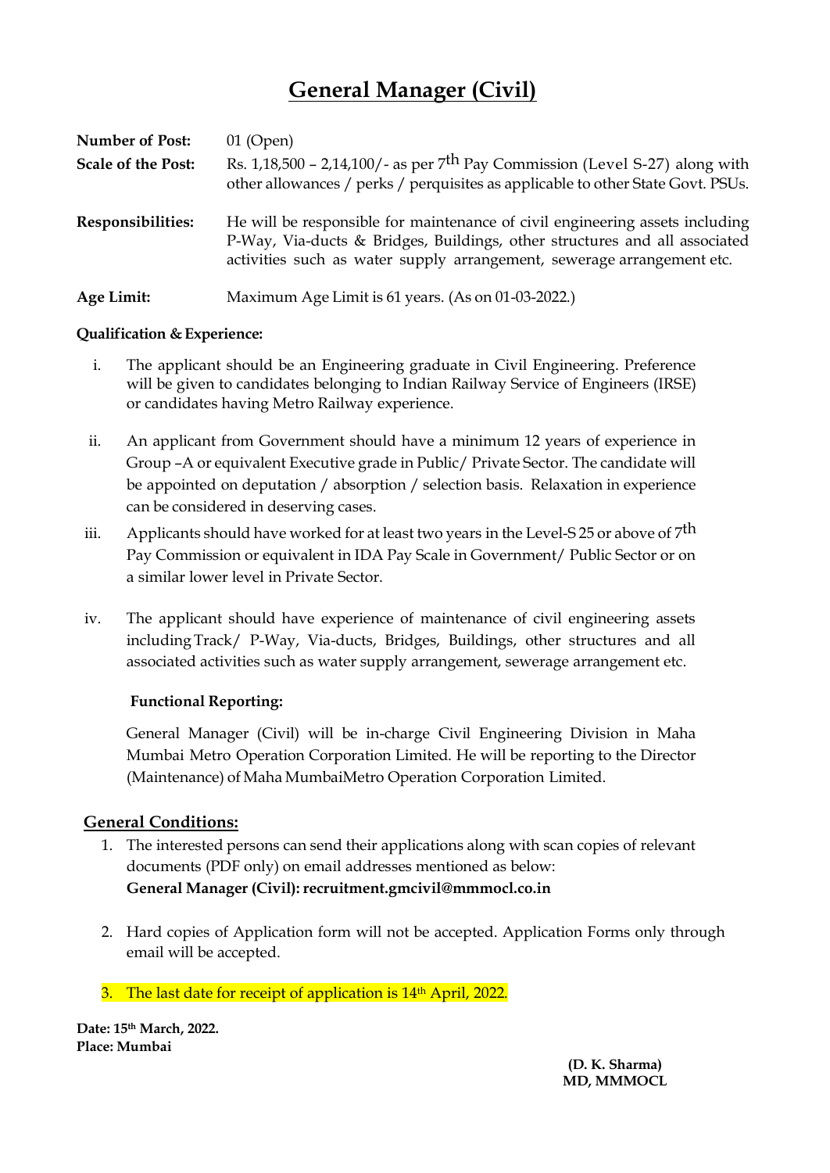# **General Manager (Civil)**

| Number of Post:           | $01$ (Open)                                                                                                                                                                                                                          |
|---------------------------|--------------------------------------------------------------------------------------------------------------------------------------------------------------------------------------------------------------------------------------|
| <b>Scale of the Post:</b> | Rs. $1,18,500 - 2,14,100/$ - as per 7 <sup>th</sup> Pay Commission (Level S-27) along with<br>other allowances / perks / perquisites as applicable to other State Govt. PSUs.                                                        |
| Responsibilities:         | He will be responsible for maintenance of civil engineering assets including<br>P-Way, Via-ducts & Bridges, Buildings, other structures and all associated<br>activities such as water supply arrangement, sewerage arrangement etc. |
| Age Limit:                | Maximum Age Limit is 61 years. (As on 01-03-2022.)                                                                                                                                                                                   |

## **Qualification & Experience:**

- i. The applicant should be an Engineering graduate in Civil Engineering. Preference will be given to candidates belonging to Indian Railway Service of Engineers (IRSE) or candidates having Metro Railway experience.
- ii. An applicant from Government should have a minimum 12 years of experience in Group –A or equivalent Executive grade in Public/ Private Sector. The candidate will be appointed on deputation / absorption / selection basis. Relaxation in experience can be considered in deserving cases.
- iii. Applicants should have worked for at least two years in the Level-S 25 or above of 7<sup>th</sup> Pay Commission or equivalent in IDA Pay Scale in Government/ Public Sector or on a similar lower level in Private Sector.
- iv. The applicant should have experience of maintenance of civil engineering assets including Track/ P-Way, Via-ducts, Bridges, Buildings, other structures and all associated activities such as water supply arrangement, sewerage arrangement etc.

## **Functional Reporting:**

General Manager (Civil) will be in-charge Civil Engineering Division in Maha Mumbai Metro Operation Corporation Limited. He will be reporting to the Director (Maintenance) of Maha MumbaiMetro Operation Corporation Limited.

# **General Conditions:**

- 1. The interested persons can send their applications along with scan copies of relevant documents (PDF only) on email addresses mentioned as below: **General Manager (Civil): [recruitment.gmcivil@mmmocl.co.in](mailto:recruitment.gmcivil@mmmocl.co.in)**
- 2. Hard copies of Application form will not be accepted. Application Forms only through email will be accepted.
- 3. The last date for receipt of application is 14<sup>th</sup> April, 2022.

**Date: 15th March, 2022. Place: Mumbai** 

> **(D. K. Sharma) MD, MMMOCL**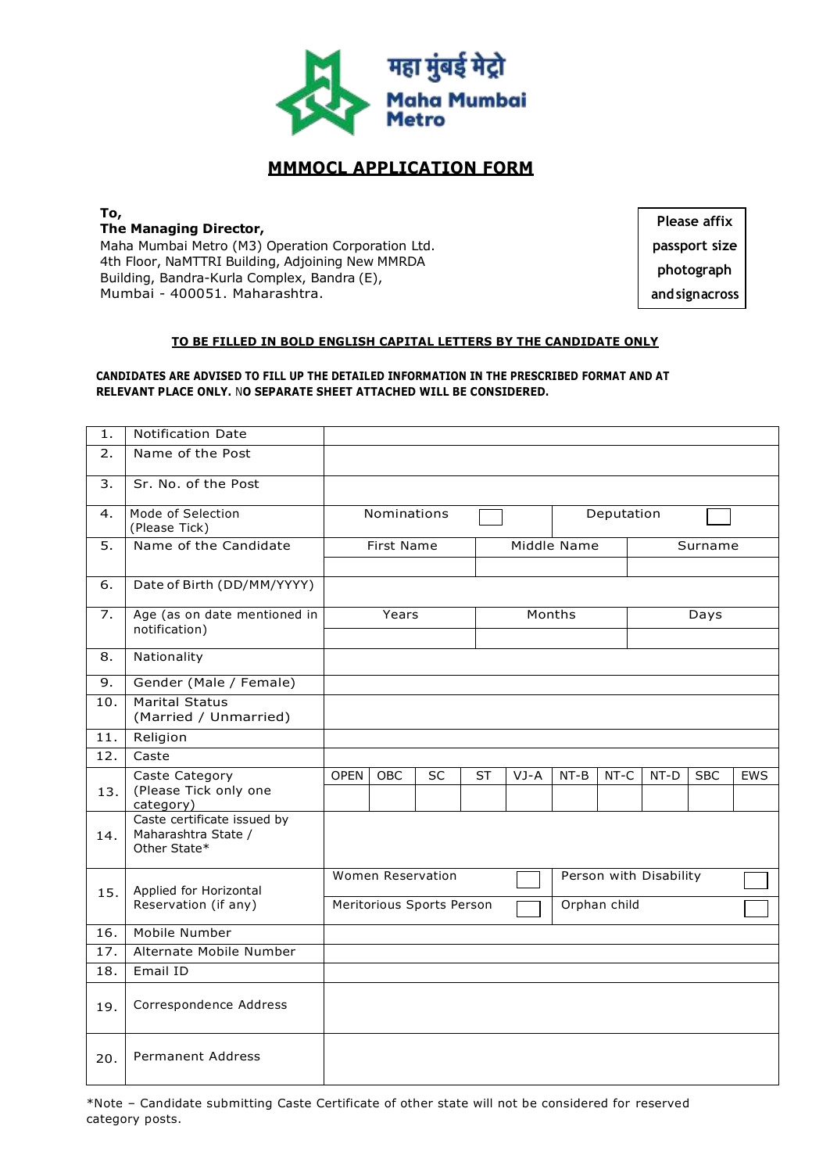

# **MMMOCL APPLICATION FORM**

**To, The Managing Director,** Maha Mumbai Metro (M3) Operation Corporation Ltd. 4th Floor, NaMTTRI Building, Adjoining New MMRDA Building, Bandra-Kurla Complex, Bandra (E), Mumbai - 400051. Maharashtra.

**Please affix passport size photograph and signacross**

#### **TO BE FILLED IN BOLD ENGLISH CAPITAL LETTERS BY THE CANDIDATE ONLY**

#### **CANDIDATES ARE ADVISED TO FILL UP THE DETAILED INFORMATION IN THE PRESCRIBED FORMAT AND AT RELEVANT PLACE ONLY.** N**O SEPARATE SHEET ATTACHED WILL BE CONSIDERED.**

| 1.                | Notification Date                                                  |                           |            |                   |           |             |        |              |                        |            |            |  |
|-------------------|--------------------------------------------------------------------|---------------------------|------------|-------------------|-----------|-------------|--------|--------------|------------------------|------------|------------|--|
| $\overline{2}$ .  | Name of the Post                                                   |                           |            |                   |           |             |        |              |                        |            |            |  |
| 3.                | Sr. No. of the Post                                                |                           |            |                   |           |             |        |              |                        |            |            |  |
| 4.                | Mode of Selection<br>(Please Tick)                                 |                           |            | Nominations       |           |             |        | Deputation   |                        |            |            |  |
| 5.                | Name of the Candidate                                              |                           | First Name |                   |           | Middle Name |        |              | Surname                |            |            |  |
| 6.                | Date of Birth (DD/MM/YYYY)                                         |                           |            |                   |           |             |        |              |                        |            |            |  |
| 7.                | Age (as on date mentioned in<br>notification)                      |                           | Years      |                   |           | Months      |        |              | Days                   |            |            |  |
| 8.                | Nationality                                                        |                           |            |                   |           |             |        |              |                        |            |            |  |
| 9.                | Gender (Male / Female)                                             |                           |            |                   |           |             |        |              |                        |            |            |  |
| 10.               | <b>Marital Status</b><br>(Married / Unmarried)                     |                           |            |                   |           |             |        |              |                        |            |            |  |
| 11.               | Religion                                                           |                           |            |                   |           |             |        |              |                        |            |            |  |
| 12.               | Caste                                                              |                           |            |                   |           |             |        |              |                        |            |            |  |
| 13.               | Caste Category<br>(Please Tick only one<br>category)               | <b>OPEN</b>               | OBC        | <b>SC</b>         | <b>ST</b> | VJ-A        | $NT-B$ | NT-C         | $NT-D$                 | <b>SBC</b> | <b>EWS</b> |  |
| 14.               | Caste certificate issued by<br>Maharashtra State /<br>Other State* |                           |            |                   |           |             |        |              |                        |            |            |  |
| 15.               | Applied for Horizontal                                             |                           |            | Women Reservation |           |             |        |              | Person with Disability |            |            |  |
|                   | Reservation (if any)                                               | Meritorious Sports Person |            |                   |           |             |        | Orphan child |                        |            |            |  |
| 16.               | Mobile Number                                                      |                           |            |                   |           |             |        |              |                        |            |            |  |
| $\overline{17}$ . | Alternate Mobile Number                                            |                           |            |                   |           |             |        |              |                        |            |            |  |
| 18.               | Email ID                                                           |                           |            |                   |           |             |        |              |                        |            |            |  |
| 19.               | Correspondence Address                                             |                           |            |                   |           |             |        |              |                        |            |            |  |
| 20.               | <b>Permanent Address</b>                                           |                           |            |                   |           |             |        |              |                        |            |            |  |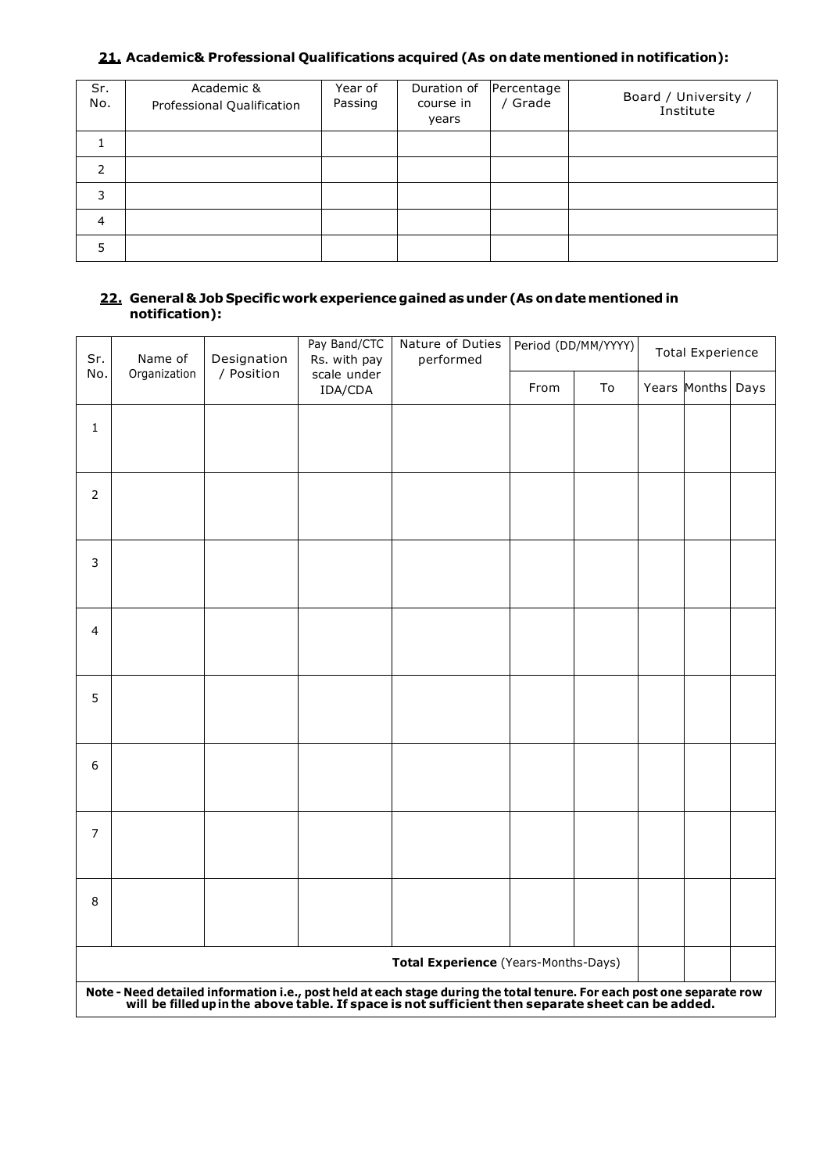# **21. Academic& Professional Qualifications acquired (As on date mentioned in notification):**

| Sr.<br>No.     | Academic &<br>Professional Qualification | Year of<br>Passing | Duration of<br>course in<br>years | Percentage<br>Grade | Board / University /<br>Institute |
|----------------|------------------------------------------|--------------------|-----------------------------------|---------------------|-----------------------------------|
|                |                                          |                    |                                   |                     |                                   |
| $\mathcal{P}$  |                                          |                    |                                   |                     |                                   |
| 3              |                                          |                    |                                   |                     |                                   |
| $\overline{4}$ |                                          |                    |                                   |                     |                                   |
| 5              |                                          |                    |                                   |                     |                                   |

#### **22. General& Job Specificwork experiencegainedas under (As ondatementioned in notification):**

| Sr.            | Name of      | Designation | Pay Band/CTC<br>Rs. with pay | Nature of Duties<br>performed                                                                                                                                                                                                | Period (DD/MM/YYYY) |    | <b>Total Experience</b> |              |      |  |
|----------------|--------------|-------------|------------------------------|------------------------------------------------------------------------------------------------------------------------------------------------------------------------------------------------------------------------------|---------------------|----|-------------------------|--------------|------|--|
| No.            | Organization | / Position  | scale under<br>IDA/CDA       |                                                                                                                                                                                                                              | From                | To |                         | Years Months | Days |  |
| $\mathbf{1}$   |              |             |                              |                                                                                                                                                                                                                              |                     |    |                         |              |      |  |
|                |              |             |                              |                                                                                                                                                                                                                              |                     |    |                         |              |      |  |
| $\overline{2}$ |              |             |                              |                                                                                                                                                                                                                              |                     |    |                         |              |      |  |
|                |              |             |                              |                                                                                                                                                                                                                              |                     |    |                         |              |      |  |
| 3              |              |             |                              |                                                                                                                                                                                                                              |                     |    |                         |              |      |  |
|                |              |             |                              |                                                                                                                                                                                                                              |                     |    |                         |              |      |  |
| 4              |              |             |                              |                                                                                                                                                                                                                              |                     |    |                         |              |      |  |
|                |              |             |                              |                                                                                                                                                                                                                              |                     |    |                         |              |      |  |
| 5              |              |             |                              |                                                                                                                                                                                                                              |                     |    |                         |              |      |  |
|                |              |             |                              |                                                                                                                                                                                                                              |                     |    |                         |              |      |  |
| 6              |              |             |                              |                                                                                                                                                                                                                              |                     |    |                         |              |      |  |
|                |              |             |                              |                                                                                                                                                                                                                              |                     |    |                         |              |      |  |
| $\overline{7}$ |              |             |                              |                                                                                                                                                                                                                              |                     |    |                         |              |      |  |
|                |              |             |                              |                                                                                                                                                                                                                              |                     |    |                         |              |      |  |
| 8              |              |             |                              |                                                                                                                                                                                                                              |                     |    |                         |              |      |  |
|                |              |             |                              | Total Experience (Years-Months-Days)                                                                                                                                                                                         |                     |    |                         |              |      |  |
|                |              |             |                              | Note - Need detailed information i.e., post held at each stage during the total tenure. For each post one separate row<br>will be filled up in the above table. If space is not sufficient then separate sheet can be added. |                     |    |                         |              |      |  |
|                |              |             |                              |                                                                                                                                                                                                                              |                     |    |                         |              |      |  |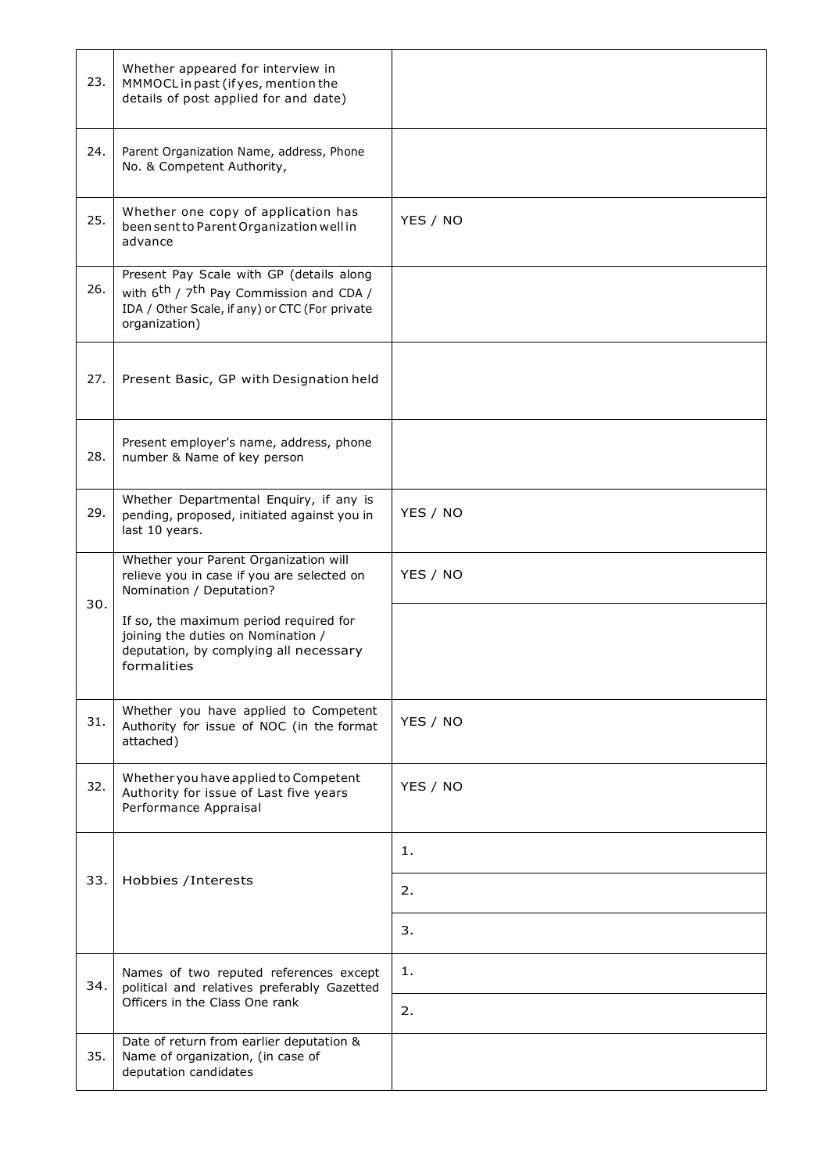| 23. | Whether appeared for interview in<br>MMMOCL in past (if yes, mention the<br>details of post applied for and date)                                                              |          |
|-----|--------------------------------------------------------------------------------------------------------------------------------------------------------------------------------|----------|
| 24. | Parent Organization Name, address, Phone<br>No. & Competent Authority,                                                                                                         |          |
| 25. | Whether one copy of application has<br>been sent to Parent Organization well in<br>advance                                                                                     | YES / NO |
| 26. | Present Pay Scale with GP (details along<br>with $6^{\text{th}}$ / $7^{\text{th}}$ Pay Commission and CDA /<br>IDA / Other Scale, if any) or CTC (For private<br>organization) |          |
| 27. | Present Basic, GP with Designation held                                                                                                                                        |          |
| 28. | Present employer's name, address, phone<br>number & Name of key person                                                                                                         |          |
| 29. | Whether Departmental Enquiry, if any is<br>pending, proposed, initiated against you in<br>last 10 years.                                                                       | YES / NO |
| 30. | Whether your Parent Organization will<br>relieve you in case if you are selected on<br>Nomination / Deputation?                                                                | YES / NO |
|     | If so, the maximum period required for<br>joining the duties on Nomination /<br>deputation, by complying all necessary<br>formalities                                          |          |
| 31. | Whether you have applied to Competent<br>Authority for issue of NOC (in the format<br>attached)                                                                                | YES / NO |
| 32. | Whether you have applied to Competent<br>Authority for issue of Last five years<br>Performance Appraisal                                                                       | YES / NO |
|     |                                                                                                                                                                                | 1.       |
| 33. | Hobbies / Interests                                                                                                                                                            | 2.       |
|     |                                                                                                                                                                                | 3.       |
| 34. | Names of two reputed references except<br>political and relatives preferably Gazetted                                                                                          | 1.       |
|     | Officers in the Class One rank                                                                                                                                                 | 2.       |
| 35. | Date of return from earlier deputation &<br>Name of organization, (in case of<br>deputation candidates                                                                         |          |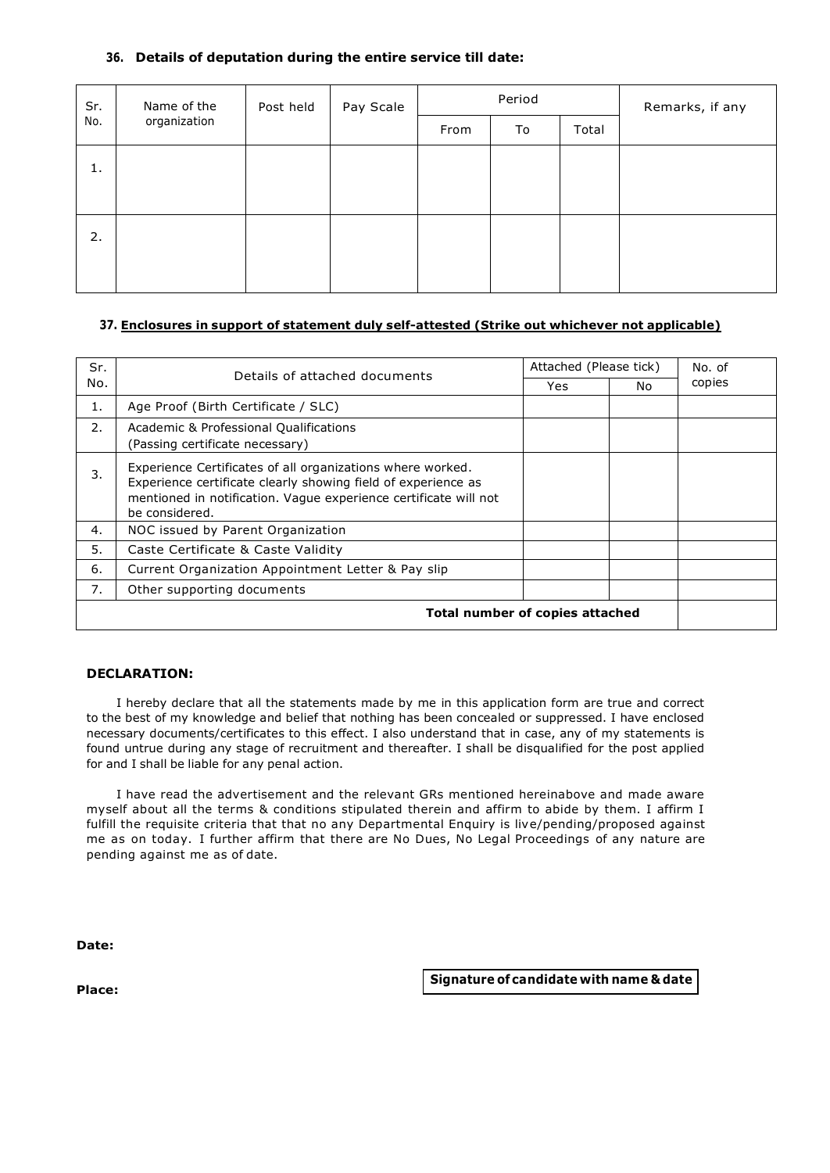#### **36. Details of deputation during the entire service till date:**

| Sr. | Name of the  | Post held | Pay Scale | Period | Remarks, if any |  |
|-----|--------------|-----------|-----------|--------|-----------------|--|
| No. | organization | From      |           | To     | Total           |  |
| 1.  |              |           |           |        |                 |  |
|     |              |           |           |        |                 |  |
| 2.  |              |           |           |        |                 |  |
|     |              |           |           |        |                 |  |
|     |              |           |           |        |                 |  |

#### **37. Enclosures in support of statement duly self-attested (Strike out whichever not applicable)**

| Sr. | Details of attached documents                                                                                                                                                                                     | Attached (Please tick) | No. of |        |
|-----|-------------------------------------------------------------------------------------------------------------------------------------------------------------------------------------------------------------------|------------------------|--------|--------|
| No. |                                                                                                                                                                                                                   | Yes.                   | No.    | copies |
| 1.  | Age Proof (Birth Certificate / SLC)                                                                                                                                                                               |                        |        |        |
| 2.  | Academic & Professional Qualifications<br>(Passing certificate necessary)                                                                                                                                         |                        |        |        |
| 3.  | Experience Certificates of all organizations where worked.<br>Experience certificate clearly showing field of experience as<br>mentioned in notification. Vaque experience certificate will not<br>be considered. |                        |        |        |
| 4.  | NOC issued by Parent Organization                                                                                                                                                                                 |                        |        |        |
| 5.  | Caste Certificate & Caste Validity                                                                                                                                                                                |                        |        |        |
| 6.  | Current Organization Appointment Letter & Pay slip                                                                                                                                                                |                        |        |        |
| 7.  | Other supporting documents                                                                                                                                                                                        |                        |        |        |
|     | Total number of copies attached                                                                                                                                                                                   |                        |        |        |

#### **DECLARATION:**

I hereby declare that all the statements made by me in this application form are true and correct to the best of my knowledge and belief that nothing has been concealed or suppressed. I have enclosed necessary documents/certificates to this effect. I also understand that in case, any of my statements is found untrue during any stage of recruitment and thereafter. I shall be disqualified for the post applied for and I shall be liable for any penal action.

I have read the advertisement and the relevant GRs mentioned hereinabove and made aware myself about all the terms & conditions stipulated therein and affirm to abide by them. I affirm I fulfill the requisite criteria that that no any Departmental Enquiry is live/pending/proposed against me as on today. I further affirm that there are No Dues, No Legal Proceedings of any nature are pending against me as of date.

**Date:**

**Signature of candidate with name & date**

**Place:**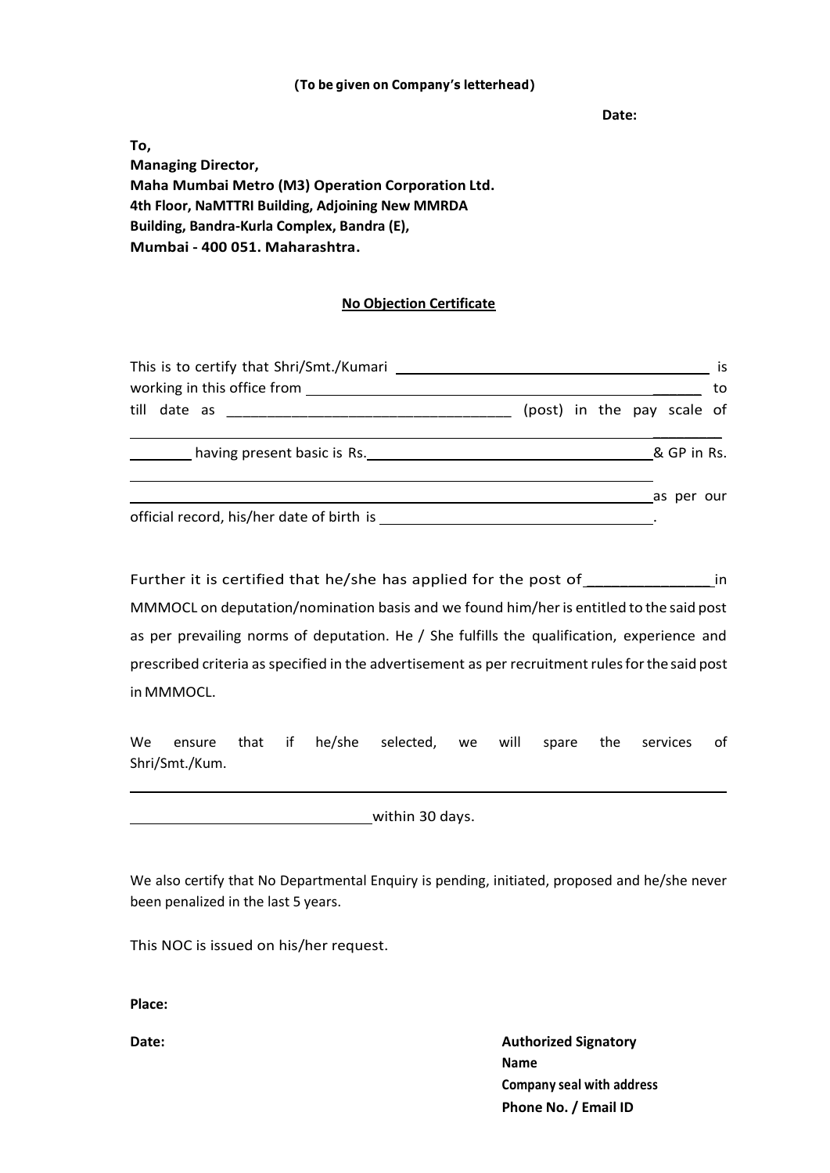#### **(To be given on Company's letterhead)**

**Date:**

**To, Managing Director, Maha Mumbai Metro (M3) Operation Corporation Ltd. 4th Floor, NaMTTRI Building, Adjoining New MMRDA Building, Bandra-Kurla Complex, Bandra (E), Mumbai - 400 051. Maharashtra.**

## **No Objection Certificate**

|                                           | (post) in the pay scale of |  |  |  |  |  |
|-------------------------------------------|----------------------------|--|--|--|--|--|
| having present basic is Rs.               | & GP in Rs.                |  |  |  |  |  |
|                                           | as per our                 |  |  |  |  |  |
| official record, his/her date of birth is |                            |  |  |  |  |  |

Further it is certified that he/she has applied for the post of \_\_\_\_\_\_\_\_\_\_\_\_\_\_\_\_ in MMMOCL on deputation/nomination basis and we found him/her is entitled to the said post as per prevailing norms of deputation. He / She fulfills the qualification, experience and prescribed criteria as specified in the advertisement as per recruitment rules for the said post in MMMOCL.

We ensure that if he/she selected, we will spare the services of Shri/Smt./Kum.

within 30 days.

We also certify that No Departmental Enquiry is pending, initiated, proposed and he/she never been penalized in the last 5 years.

This NOC is issued on his/her request.

**Place:**

**Date: Authorized Signatory Authorized Signatory Name Company seal with address Phone No. / Email ID**